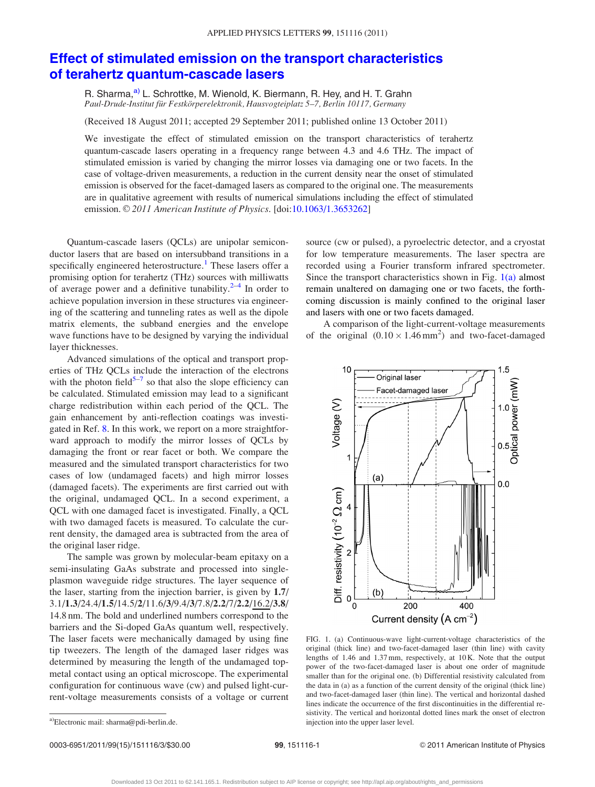## <span id="page-0-0"></span>[Effect of stimulated emission on the transport characteristics](http://dx.doi.org/10.1063/1.3653262) [of terahertz quantum-cascade lasers](http://dx.doi.org/10.1063/1.3653262)

R. Sharma,<sup>a)</sup> L. Schrottke, M. Wienold, K. Biermann, R. Hey, and H. T. Grahn Paul-Drude-Institut für Festkörperelektronik, Hausvogteiplatz 5–7, Berlin 10117, Germany

(Received 18 August 2011; accepted 29 September 2011; published online 13 October 2011)

We investigate the effect of stimulated emission on the transport characteristics of terahertz quantum-cascade lasers operating in a frequency range between 4.3 and 4.6 THz. The impact of stimulated emission is varied by changing the mirror losses via damaging one or two facets. In the case of voltage-driven measurements, a reduction in the current density near the onset of stimulated emission is observed for the facet-damaged lasers as compared to the original one. The measurements are in qualitative agreement with results of numerical simulations including the effect of stimulated emission. © 2011 American Institute of Physics. [doi[:10.1063/1.3653262](http://dx.doi.org/10.1063/1.3653262)]

Quantum-cascade lasers (QCLs) are unipolar semiconductor lasers that are based on intersubband transitions in a specifically engineered heterostructure.<sup>[1](#page-2-0)</sup> These lasers offer a promising option for terahertz (THz) sources with milliwatts of average power and a definitive tunability. $2-4$  In order to achieve population inversion in these structures via engineering of the scattering and tunneling rates as well as the dipole matrix elements, the subband energies and the envelope wave functions have to be designed by varying the individual layer thicknesses.

Advanced simulations of the optical and transport properties of THz QCLs include the interaction of the electrons with the photon field<sup>5–[7](#page-2-0)</sup> so that also the slope efficiency can be calculated. Stimulated emission may lead to a significant charge redistribution within each period of the QCL. The gain enhancement by anti-reflection coatings was investigated in Ref. [8](#page-2-0). In this work, we report on a more straightforward approach to modify the mirror losses of QCLs by damaging the front or rear facet or both. We compare the measured and the simulated transport characteristics for two cases of low (undamaged facets) and high mirror losses (damaged facets). The experiments are first carried out with the original, undamaged QCL. In a second experiment, a QCL with one damaged facet is investigated. Finally, a QCL with two damaged facets is measured. To calculate the current density, the damaged area is subtracted from the area of the original laser ridge.

The sample was grown by molecular-beam epitaxy on a semi-insulating GaAs substrate and processed into singleplasmon waveguide ridge structures. The layer sequence of the laser, starting from the injection barrier, is given by 1.7/ 3.1/1.3/24.4/1.5/14.5/2/11.6/3/9.4/3/7.8/2.2/7/2.2/16.2/3.8/ 14.8 nm. The bold and underlined numbers correspond to the barriers and the Si-doped GaAs quantum well, respectively. The laser facets were mechanically damaged by using fine tip tweezers. The length of the damaged laser ridges was determined by measuring the length of the undamaged topmetal contact using an optical microscope. The experimental configuration for continuous wave (cw) and pulsed light-current-voltage measurements consists of a voltage or current source (cw or pulsed), a pyroelectric detector, and a cryostat for low temperature measurements. The laser spectra are recorded using a Fourier transform infrared spectrometer. Since the transport characteristics shown in Fig.  $1(a)$  almost remain unaltered on damaging one or two facets, the forthcoming discussion is mainly confined to the original laser and lasers with one or two facets damaged.

A comparison of the light-current-voltage measurements of the original  $(0.10 \times 1.46 \text{ mm}^2)$  and two-facet-damaged



FIG. 1. (a) Continuous-wave light-current-voltage characteristics of the original (thick line) and two-facet-damaged laser (thin line) with cavity lengths of 1.46 and 1.37 mm, respectively, at 10 K. Note that the output power of the two-facet-damaged laser is about one order of magnitude smaller than for the original one. (b) Differential resistivity calculated from the data in (a) as a function of the current density of the original (thick line) and two-facet-damaged laser (thin line). The vertical and horizontal dashed lines indicate the occurrence of the first discontinuities in the differential resistivity. The vertical and horizontal dotted lines mark the onset of electron a)Electronic mail: sharma@pdi-berlin.de. a)Electronic mail: sharma@pdi-berlin.de. a)Electronic mail: sharma@pdi-berlin.de.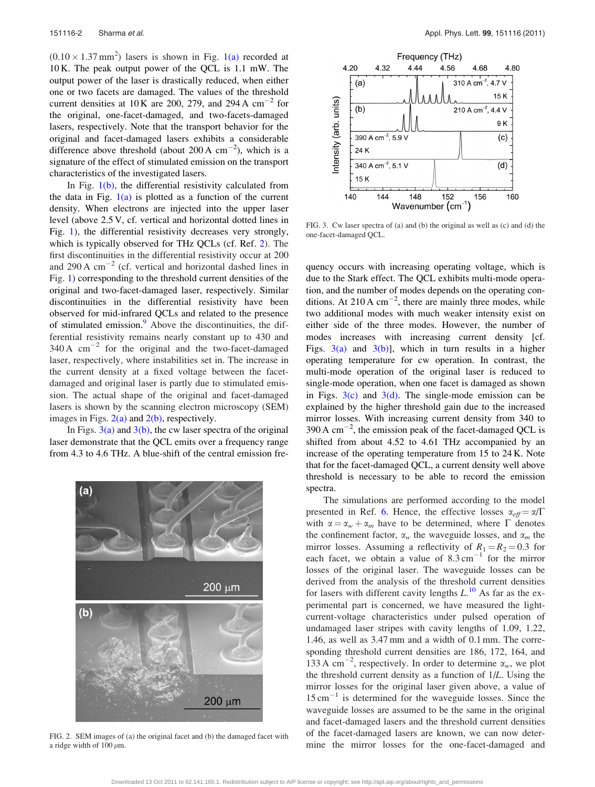$(0.10 \times 1.37 \text{ mm}^2)$  lasers is shown in Fig. [1\(a\)](#page-0-0) recorded at 10 K. The peak output power of the QCL is 1.1 mW. The output power of the laser is drastically reduced, when either one or two facets are damaged. The values of the threshold current densities at 10 K are 200, 279, and 294 A  $\text{cm}^{-2}$  for the original, one-facet-damaged, and two-facets-damaged lasers, respectively. Note that the transport behavior for the original and facet-damaged lasers exhibits a considerable difference above threshold (about 200 A  $cm^{-2}$ ), which is a signature of the effect of stimulated emission on the transport characteristics of the investigated lasers.

In Fig.  $1(b)$ , the differential resistivity calculated from the data in Fig.  $1(a)$  is plotted as a function of the current density. When electrons are injected into the upper laser level (above 2.5 V, cf. vertical and horizontal dotted lines in Fig. [1](#page-0-0)), the differential resistivity decreases very strongly, which is typically observed for THz QCLs (cf. Ref. [2](#page-2-0)). The first discontinuities in the differential resistivity occur at 200 and 290 A  $cm^{-2}$  (cf. vertical and horizontal dashed lines in Fig. [1](#page-0-0)) corresponding to the threshold current densities of the original and two-facet-damaged laser, respectively. Similar discontinuities in the differential resistivity have been observed for mid-infrared QCLs and related to the presence of stimulated emission.<sup>[9](#page-2-0)</sup> Above the discontinuities, the differential resistivity remains nearly constant up to 430 and  $340 \text{ A cm}^{-2}$  for the original and the two-facet-damaged laser, respectively, where instabilities set in. The increase in the current density at a fixed voltage between the facetdamaged and original laser is partly due to stimulated emission. The actual shape of the original and facet-damaged lasers is shown by the scanning electron microscopy (SEM) images in Figs.  $2(a)$  and  $2(b)$ , respectively.

In Figs.  $3(a)$  and  $3(b)$ , the cw laser spectra of the original laser demonstrate that the QCL emits over a frequency range from 4.3 to 4.6 THz. A blue-shift of the central emission fre-



FIG. 2. SEM images of (a) the original facet and (b) the damaged facet with a ridge width of  $100 \mu m$ .



FIG. 3. Cw laser spectra of (a) and (b) the original as well as (c) and (d) the one-facet-damaged QCL.

quency occurs with increasing operating voltage, which is due to the Stark effect. The QCL exhibits multi-mode operation, and the number of modes depends on the operating conditions. At 210 A  $cm^{-2}$ , there are mainly three modes, while two additional modes with much weaker intensity exist on either side of the three modes. However, the number of modes increases with increasing current density [cf. Figs.  $3(a)$  and  $3(b)$ ], which in turn results in a higher operating temperature for cw operation. In contrast, the multi-mode operation of the original laser is reduced to single-mode operation, when one facet is damaged as shown in Figs.  $3(c)$  and  $3(d)$ . The single-mode emission can be explained by the higher threshold gain due to the increased mirror losses. With increasing current density from 340 to 390 A  $\text{cm}^{-2}$ , the emission peak of the facet-damaged QCL is shifted from about 4.52 to 4.61 THz accompanied by an increase of the operating temperature from 15 to 24 K. Note that for the facet-damaged QCL, a current density well above threshold is necessary to be able to record the emission spectra.

The simulations are performed according to the model presented in Ref. [6](#page-2-0). Hence, the effective losses  $\alpha_{\text{eff}} = \alpha/\Gamma$ with  $\alpha = \alpha_w + \alpha_m$  have to be determined, where  $\Gamma$  denotes the confinement factor,  $\alpha_w$  the waveguide losses, and  $\alpha_m$  the mirror losses. Assuming a reflectivity of  $R_1 = R_2 = 0.3$  for each facet, we obtain a value of  $8.3 \text{ cm}^{-1}$  for the mirror losses of the original laser. The waveguide losses can be derived from the analysis of the threshold current densities for lasers with different cavity lengths  $L^{10}$  $L^{10}$  $L^{10}$  As far as the experimental part is concerned, we have measured the lightcurrent-voltage characteristics under pulsed operation of undamaged laser stripes with cavity lengths of 1.09, 1.22, 1.46, as well as 3.47 mm and a width of 0.1 mm. The corresponding threshold current densities are 186, 172, 164, and 133 A cm<sup>-2</sup>, respectively. In order to determine  $\alpha_w$ , we plot the threshold current density as a function of 1/L. Using the mirror losses for the original laser given above, a value of  $15 \text{ cm}^{-1}$  is determined for the waveguide losses. Since the waveguide losses are assumed to be the same in the original and facet-damaged lasers and the threshold current densities of the facet-damaged lasers are known, we can now determine the mirror losses for the one-facet-damaged and